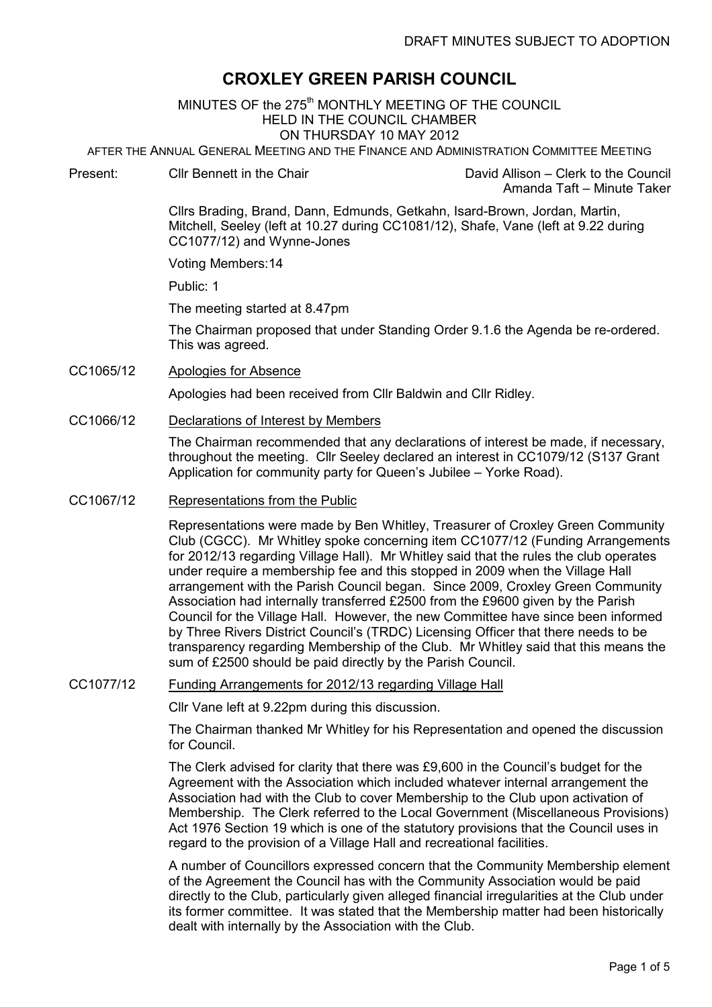# CROXLEY GREEN PARISH COUNCIL

MINUTES OF the 275<sup>th</sup> MONTHLY MEETING OF THE COUNCIL HELD IN THE COUNCIL CHAMBER ON THURSDAY 10 MAY 2012

AFTER THE ANNUAL GENERAL MEETING AND THE FINANCE AND ADMINISTRATION COMMITTEE MEETING Ī

Present: Cllr Bennett in the Chair David Allison – Clerk to the Council

Amanda Taft – Minute Taker

Cllrs Brading, Brand, Dann, Edmunds, Getkahn, Isard-Brown, Jordan, Martin, Mitchell, Seeley (left at 10.27 during CC1081/12), Shafe, Vane (left at 9.22 during CC1077/12) and Wynne-Jones

Voting Members:14

Public: 1

The meeting started at 8.47pm

 The Chairman proposed that under Standing Order 9.1.6 the Agenda be re-ordered. This was agreed.

CC1065/12 Apologies for Absence

Apologies had been received from Cllr Baldwin and Cllr Ridley.

CC1066/12 Declarations of Interest by Members

The Chairman recommended that any declarations of interest be made, if necessary, throughout the meeting. Cllr Seeley declared an interest in CC1079/12 (S137 Grant Application for community party for Queen's Jubilee – Yorke Road).

CC1067/12 Representations from the Public

Representations were made by Ben Whitley, Treasurer of Croxley Green Community Club (CGCC). Mr Whitley spoke concerning item CC1077/12 (Funding Arrangements for 2012/13 regarding Village Hall). Mr Whitley said that the rules the club operates under require a membership fee and this stopped in 2009 when the Village Hall arrangement with the Parish Council began. Since 2009, Croxley Green Community Association had internally transferred £2500 from the £9600 given by the Parish Council for the Village Hall. However, the new Committee have since been informed by Three Rivers District Council's (TRDC) Licensing Officer that there needs to be transparency regarding Membership of the Club. Mr Whitley said that this means the sum of £2500 should be paid directly by the Parish Council.

#### CC1077/12 Funding Arrangements for 2012/13 regarding Village Hall

Cllr Vane left at 9.22pm during this discussion.

The Chairman thanked Mr Whitley for his Representation and opened the discussion for Council.

The Clerk advised for clarity that there was £9,600 in the Council's budget for the Agreement with the Association which included whatever internal arrangement the Association had with the Club to cover Membership to the Club upon activation of Membership. The Clerk referred to the Local Government (Miscellaneous Provisions) Act 1976 Section 19 which is one of the statutory provisions that the Council uses in regard to the provision of a Village Hall and recreational facilities.

A number of Councillors expressed concern that the Community Membership element of the Agreement the Council has with the Community Association would be paid directly to the Club, particularly given alleged financial irregularities at the Club under its former committee. It was stated that the Membership matter had been historically dealt with internally by the Association with the Club.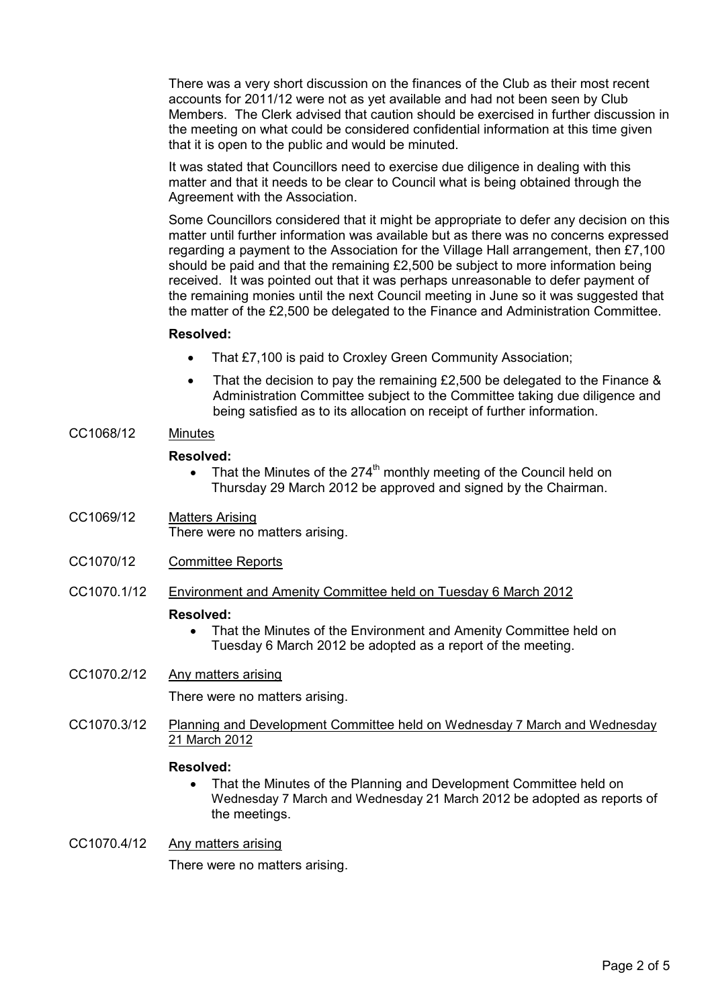There was a very short discussion on the finances of the Club as their most recent accounts for 2011/12 were not as yet available and had not been seen by Club Members. The Clerk advised that caution should be exercised in further discussion in the meeting on what could be considered confidential information at this time given that it is open to the public and would be minuted.

It was stated that Councillors need to exercise due diligence in dealing with this matter and that it needs to be clear to Council what is being obtained through the Agreement with the Association.

Some Councillors considered that it might be appropriate to defer any decision on this matter until further information was available but as there was no concerns expressed regarding a payment to the Association for the Village Hall arrangement, then £7,100 should be paid and that the remaining £2,500 be subject to more information being received. It was pointed out that it was perhaps unreasonable to defer payment of the remaining monies until the next Council meeting in June so it was suggested that the matter of the £2,500 be delegated to the Finance and Administration Committee.

### Resolved:

- That £7,100 is paid to Croxley Green Community Association;
- That the decision to pay the remaining £2,500 be delegated to the Finance & Administration Committee subject to the Committee taking due diligence and being satisfied as to its allocation on receipt of further information.

# CC1068/12 Minutes

### Resolved:

- That the Minutes of the 274<sup>th</sup> monthly meeting of the Council held on Thursday 29 March 2012 be approved and signed by the Chairman.
- CC1069/12 Matters Arising There were no matters arising.
- CC1070/12 Committee Reports
- CC1070.1/12 Environment and Amenity Committee held on Tuesday 6 March 2012

#### Resolved:

• That the Minutes of the Environment and Amenity Committee held on Tuesday 6 March 2012 be adopted as a report of the meeting.

# CC1070.2/12 Any matters arising

There were no matters arising.

CC1070.3/12 Planning and Development Committee held on Wednesday 7 March and Wednesday 21 March 2012

#### Resolved:

• That the Minutes of the Planning and Development Committee held on Wednesday 7 March and Wednesday 21 March 2012 be adopted as reports of the meetings.

# CC1070.4/12 Any matters arising

There were no matters arising.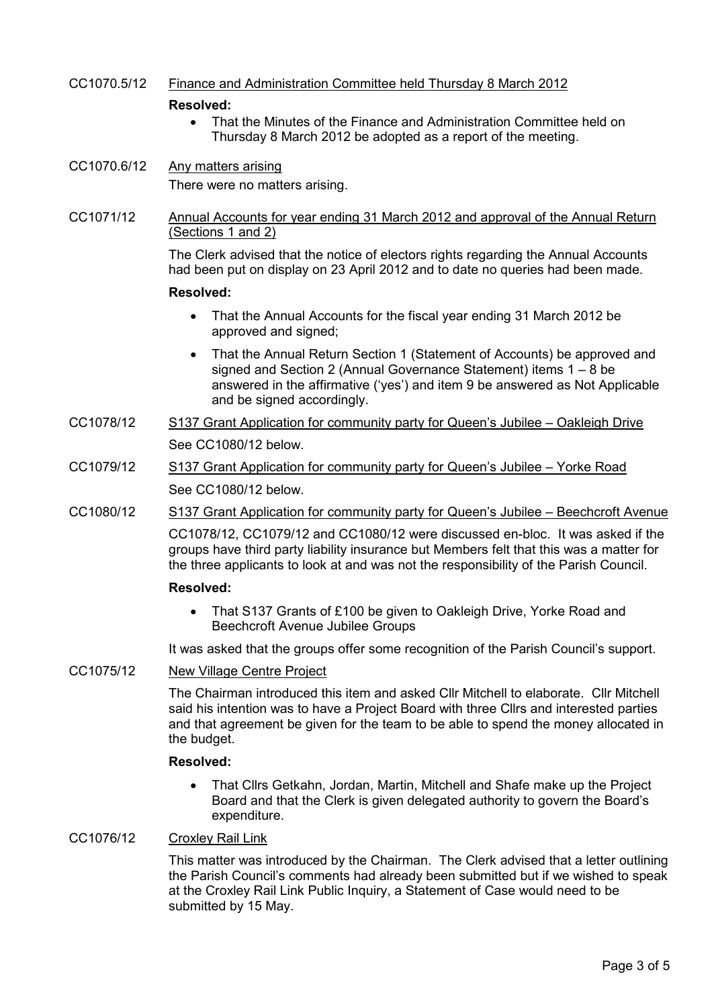# CC1070.5/12 Finance and Administration Committee held Thursday 8 March 2012

#### Resolved:

• That the Minutes of the Finance and Administration Committee held on Thursday 8 March 2012 be adopted as a report of the meeting.

CC1070.6/12 Any matters arising There were no matters arising.

# CC1071/12 Annual Accounts for year ending 31 March 2012 and approval of the Annual Return (Sections 1 and 2)

The Clerk advised that the notice of electors rights regarding the Annual Accounts had been put on display on 23 April 2012 and to date no queries had been made.

#### Resolved:

- That the Annual Accounts for the fiscal year ending 31 March 2012 be approved and signed;
- That the Annual Return Section 1 (Statement of Accounts) be approved and signed and Section 2 (Annual Governance Statement) items 1 – 8 be answered in the affirmative ('yes') and item 9 be answered as Not Applicable and be signed accordingly.
- CC1078/12 S137 Grant Application for community party for Queen's Jubilee Oakleigh Drive See CC1080/12 below.
- CC1079/12 S137 Grant Application for community party for Queen's Jubilee Yorke Road See CC1080/12 below.
- CC1080/12 S137 Grant Application for community party for Queen's Jubilee Beechcroft Avenue

CC1078/12, CC1079/12 and CC1080/12 were discussed en-bloc. It was asked if the groups have third party liability insurance but Members felt that this was a matter for the three applicants to look at and was not the responsibility of the Parish Council.

#### Resolved:

• That S137 Grants of £100 be given to Oakleigh Drive, Yorke Road and Beechcroft Avenue Jubilee Groups

It was asked that the groups offer some recognition of the Parish Council's support.

#### CC1075/12 New Village Centre Project

The Chairman introduced this item and asked Cllr Mitchell to elaborate. Cllr Mitchell said his intention was to have a Project Board with three Cllrs and interested parties and that agreement be given for the team to be able to spend the money allocated in the budget.

#### Resolved:

• That Cllrs Getkahn, Jordan, Martin, Mitchell and Shafe make up the Project Board and that the Clerk is given delegated authority to govern the Board's expenditure.

# CC1076/12 Croxley Rail Link

This matter was introduced by the Chairman. The Clerk advised that a letter outlining the Parish Council's comments had already been submitted but if we wished to speak at the Croxley Rail Link Public Inquiry, a Statement of Case would need to be submitted by 15 May.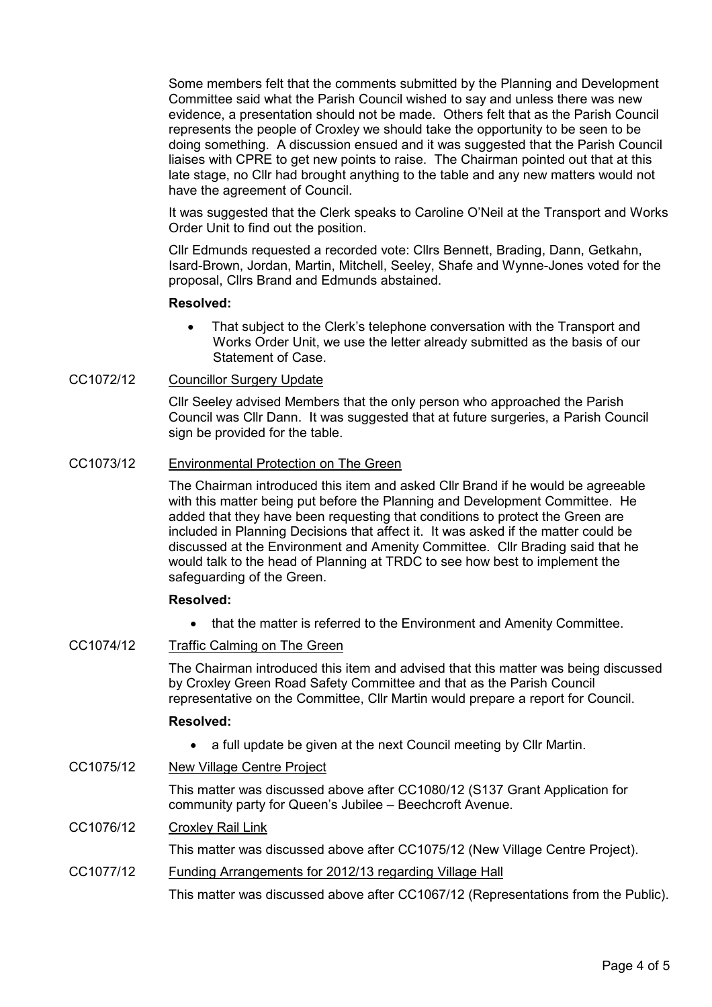Some members felt that the comments submitted by the Planning and Development Committee said what the Parish Council wished to say and unless there was new evidence, a presentation should not be made. Others felt that as the Parish Council represents the people of Croxley we should take the opportunity to be seen to be doing something. A discussion ensued and it was suggested that the Parish Council liaises with CPRE to get new points to raise. The Chairman pointed out that at this late stage, no Cllr had brought anything to the table and any new matters would not have the agreement of Council.

It was suggested that the Clerk speaks to Caroline O'Neil at the Transport and Works Order Unit to find out the position.

Cllr Edmunds requested a recorded vote: Cllrs Bennett, Brading, Dann, Getkahn, Isard-Brown, Jordan, Martin, Mitchell, Seeley, Shafe and Wynne-Jones voted for the proposal, Cllrs Brand and Edmunds abstained.

#### Resolved:

That subject to the Clerk's telephone conversation with the Transport and Works Order Unit, we use the letter already submitted as the basis of our Statement of Case.

### CC1072/12 Councillor Surgery Update

Cllr Seeley advised Members that the only person who approached the Parish Council was Cllr Dann. It was suggested that at future surgeries, a Parish Council sign be provided for the table.

### CC1073/12 Environmental Protection on The Green

The Chairman introduced this item and asked Cllr Brand if he would be agreeable with this matter being put before the Planning and Development Committee. He added that they have been requesting that conditions to protect the Green are included in Planning Decisions that affect it. It was asked if the matter could be discussed at the Environment and Amenity Committee. Cllr Brading said that he would talk to the head of Planning at TRDC to see how best to implement the safeguarding of the Green.

#### Resolved:

• that the matter is referred to the Environment and Amenity Committee.

# CC1074/12 Traffic Calming on The Green

The Chairman introduced this item and advised that this matter was being discussed by Croxley Green Road Safety Committee and that as the Parish Council representative on the Committee, Cllr Martin would prepare a report for Council.

# Resolved:

- a full update be given at the next Council meeting by Cllr Martin.
- CC1075/12 New Village Centre Project

This matter was discussed above after CC1080/12 (S137 Grant Application for community party for Queen's Jubilee – Beechcroft Avenue.

# CC1076/12 Croxley Rail Link

This matter was discussed above after CC1075/12 (New Village Centre Project).

CC1077/12 Funding Arrangements for 2012/13 regarding Village Hall

This matter was discussed above after CC1067/12 (Representations from the Public).